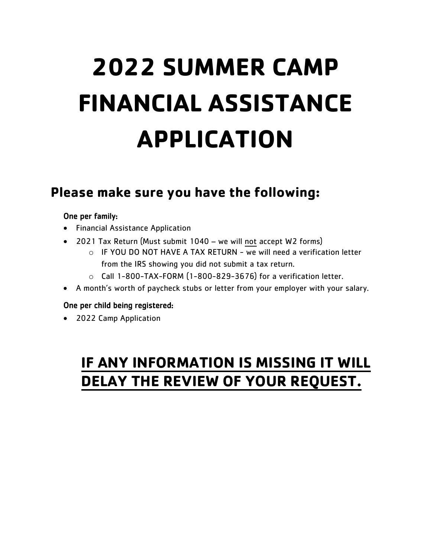# **2022 SUMMER CAMP FINANCIAL ASSISTANCE APPLICATION**

### **Please make sure you have the following:**

#### One per family:

- Financial Assistance Application
- 2021 Tax Return (Must submit 1040 we will not accept W2 forms)
	- $\circ$  IF YOU DO NOT HAVE A TAX RETURN we will need a verification letter from the IRS showing you did not submit a tax return.
	- $\circ$  Call 1-800-TAX-FORM (1-800-829-3676) for a verification letter.
- A month's worth of paycheck stubs or letter from your employer with your salary.

#### One per child being registered:

• 2022 Camp Application

### **IF ANY INFORMATION IS MISSING IT WILL DELAY THE REVIEW OF YOUR REQUEST.**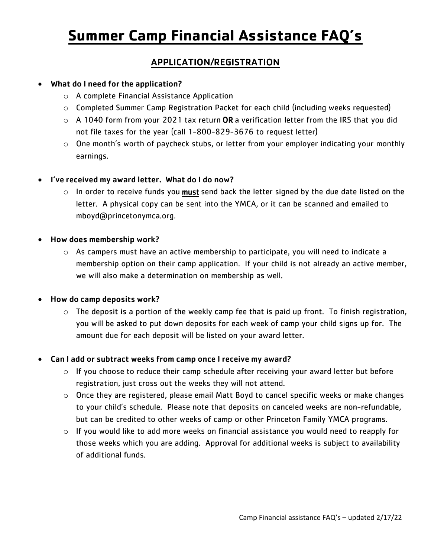# **Summer Camp Financial Assistance FAQ's**

#### APPLICATION/REGISTRATION

#### • What do I need for the application?

- o A complete Financial Assistance Application
- o Completed Summer Camp Registration Packet for each child (including weeks requested)
- $\circ$  A 1040 form from your 2021 tax return OR a verification letter from the IRS that you did not file taxes for the year (call 1-800-829-3676 to request letter)
- $\circ$  One month's worth of paycheck stubs, or letter from your employer indicating your monthly earnings.

#### • I've received my award letter. What do I do now?

 $\circ$  In order to receive funds you must send back the letter signed by the due date listed on the letter. A physical copy can be sent into the YMCA, or it can be scanned and emailed to mboyd@princetonymca.org.

#### • How does membership work?

 $\circ$  As campers must have an active membership to participate, you will need to indicate a membership option on their camp application. If your child is not already an active member, we will also make a determination on membership as well.

#### • How do camp deposits work?

 $\circ$  The deposit is a portion of the weekly camp fee that is paid up front. To finish registration, you will be asked to put down deposits for each week of camp your child signs up for. The amount due for each deposit will be listed on your award letter.

#### • Can I add or subtract weeks from camp once I receive my award?

- o If you choose to reduce their camp schedule after receiving your award letter but before registration, just cross out the weeks they will not attend.
- $\circ$  Once they are registered, please email Matt Boyd to cancel specific weeks or make changes to your child's schedule. Please note that deposits on canceled weeks are non-refundable, but can be credited to other weeks of camp or other Princeton Family YMCA programs.
- o If you would like to add more weeks on financial assistance you would need to reapply for those weeks which you are adding. Approval for additional weeks is subject to availability of additional funds.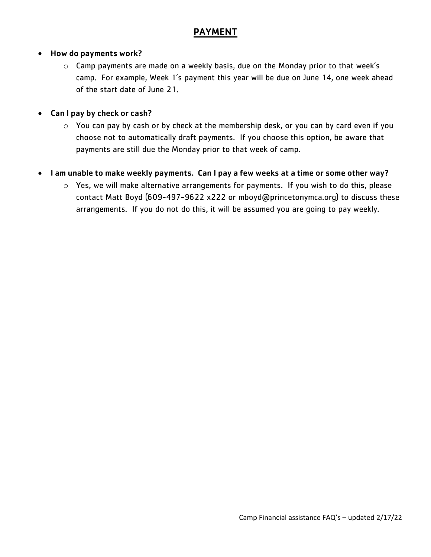#### PAYMENT

#### • How do payments work?

o Camp payments are made on a weekly basis, due on the Monday prior to that week's camp. For example, Week 1's payment this year will be due on June 14, one week ahead of the start date of June 21.

#### Can I pay by check or cash?

o You can pay by cash or by check at the membership desk, or you can by card even if you choose not to automatically draft payments. If you choose this option, be aware that payments are still due the Monday prior to that week of camp.

#### • I am unable to make weekly payments. Can I pay a few weeks at a time or some other way?

o Yes, we will make alternative arrangements for payments. If you wish to do this, please contact Matt Boyd (609-497-9622 x222 or mboyd@princetonymca.org) to discuss these arrangements. If you do not do this, it will be assumed you are going to pay weekly.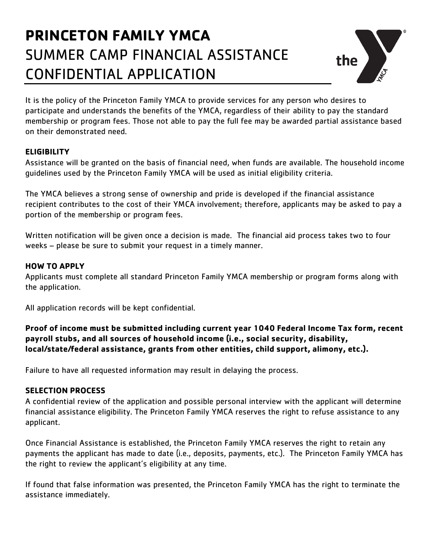### **PRINCETON FAMILY YMCA** SUMMER CAMP FINANCIAL ASSISTANCE CONFIDENTIAL APPLICATION



It is the policy of the Princeton Family YMCA to provide services for any person who desires to participate and understands the benefits of the YMCA, regardless of their ability to pay the standard membership or program fees. Those not able to pay the full fee may be awarded partial assistance based on their demonstrated need.

#### **ELIGIBILITY**

Assistance will be granted on the basis of financial need, when funds are available. The household income guidelines used by the Princeton Family YMCA will be used as initial eligibility criteria.

The YMCA believes a strong sense of ownership and pride is developed if the financial assistance recipient contributes to the cost of their YMCA involvement; therefore, applicants may be asked to pay a portion of the membership or program fees.

Written notification will be given once a decision is made. The financial aid process takes two to four weeks – please be sure to submit your request in a timely manner.

#### **HOW TO APPLY**

Applicants must complete all standard Princeton Family YMCA membership or program forms along with the application.

All application records will be kept confidential.

**Proof of income must be submitted including current year 1040 Federal Income Tax form, recent payroll stubs, and all sources of household income (i.e., social security, disability, local/state/federal assistance, grants from other entities, child support, alimony, etc.).**

Failure to have all requested information may result in delaying the process.

#### **SELECTION PROCESS**

A confidential review of the application and possible personal interview with the applicant will determine financial assistance eligibility. The Princeton Family YMCA reserves the right to refuse assistance to any applicant.

Once Financial Assistance is established, the Princeton Family YMCA reserves the right to retain any payments the applicant has made to date (i.e., deposits, payments, etc.). The Princeton Family YMCA has the right to review the applicant's eligibility at any time.

If found that false information was presented, the Princeton Family YMCA has the right to terminate the assistance immediately.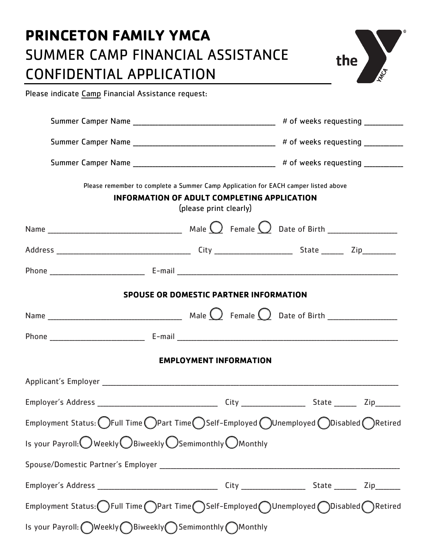# **PRINCETON FAMILY YMCA** SUMMER CAMP FINANCIAL ASSISTANCE CONFIDENTIAL APPLICATION



Please indicate Camp Financial Assistance request:

| Please remember to complete a Summer Camp Application for EACH camper listed above<br><b>INFORMATION OF ADULT COMPLETING APPLICATION</b><br>(please print clearly) |  |  |  |  |  |
|--------------------------------------------------------------------------------------------------------------------------------------------------------------------|--|--|--|--|--|
|                                                                                                                                                                    |  |  |  |  |  |
|                                                                                                                                                                    |  |  |  |  |  |
|                                                                                                                                                                    |  |  |  |  |  |
| <b>SPOUSE OR DOMESTIC PARTNER INFORMATION</b>                                                                                                                      |  |  |  |  |  |
|                                                                                                                                                                    |  |  |  |  |  |
|                                                                                                                                                                    |  |  |  |  |  |
| <b>EMPLOYMENT INFORMATION</b>                                                                                                                                      |  |  |  |  |  |
|                                                                                                                                                                    |  |  |  |  |  |
|                                                                                                                                                                    |  |  |  |  |  |
| Employment Status: $\bigcirc$ Full Time $\bigcirc$ Part Time $\bigcirc$ Self-Employed $\bigcirc$ Unemployed $\bigcirc$ Disabled $\bigcirc$ Retired                 |  |  |  |  |  |
| Is your Payroll: Weekly OBiweekly OSemimonthly OMonthly                                                                                                            |  |  |  |  |  |
|                                                                                                                                                                    |  |  |  |  |  |
|                                                                                                                                                                    |  |  |  |  |  |
| Employment Status: OFull Time OPart Time OSelf-Employed OUnemployed ODisabled ORetired                                                                             |  |  |  |  |  |
| Is your Payroll: OWeekly Biweekly Semimonthly OMonthly                                                                                                             |  |  |  |  |  |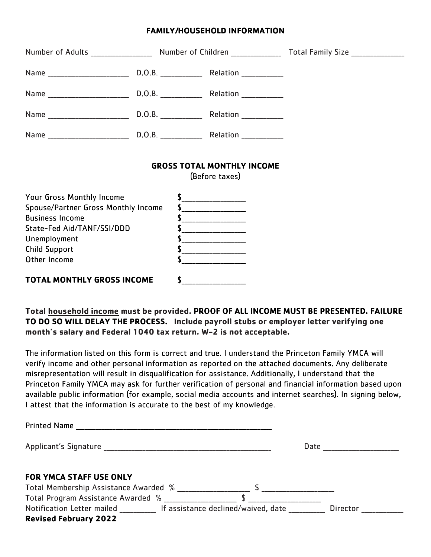#### **FAMILY/HOUSEHOLD INFORMATION**

| Number of Adults ____________________ Number of Children ________________ Total Family Size _________________ |                                                                          |                                                                                                                                                                                                                                                                                                                                                                                                                                                                                                                                                                                                                                                                          |
|---------------------------------------------------------------------------------------------------------------|--------------------------------------------------------------------------|--------------------------------------------------------------------------------------------------------------------------------------------------------------------------------------------------------------------------------------------------------------------------------------------------------------------------------------------------------------------------------------------------------------------------------------------------------------------------------------------------------------------------------------------------------------------------------------------------------------------------------------------------------------------------|
|                                                                                                               |                                                                          |                                                                                                                                                                                                                                                                                                                                                                                                                                                                                                                                                                                                                                                                          |
|                                                                                                               |                                                                          |                                                                                                                                                                                                                                                                                                                                                                                                                                                                                                                                                                                                                                                                          |
|                                                                                                               |                                                                          |                                                                                                                                                                                                                                                                                                                                                                                                                                                                                                                                                                                                                                                                          |
|                                                                                                               |                                                                          |                                                                                                                                                                                                                                                                                                                                                                                                                                                                                                                                                                                                                                                                          |
|                                                                                                               |                                                                          |                                                                                                                                                                                                                                                                                                                                                                                                                                                                                                                                                                                                                                                                          |
|                                                                                                               |                                                                          |                                                                                                                                                                                                                                                                                                                                                                                                                                                                                                                                                                                                                                                                          |
|                                                                                                               | Spouse/Partner Gross Monthly Income<br><b>TOTAL MONTHLY GROSS INCOME</b> | \$<br><b>GROSS TOTAL MONTHLY INCOME</b><br>(Before taxes)<br>$\begin{picture}(20,10) \put(0,0){\vector(1,0){100}} \put(15,0){\vector(1,0){100}} \put(15,0){\vector(1,0){100}} \put(15,0){\vector(1,0){100}} \put(15,0){\vector(1,0){100}} \put(15,0){\vector(1,0){100}} \put(15,0){\vector(1,0){100}} \put(15,0){\vector(1,0){100}} \put(15,0){\vector(1,0){100}} \put(15,0){\vector(1,0){100}} \put(15,0){\vector(1,0){100}} \$<br><u>and a strategic programment of the strategic programment of the strategic programment of the strategic programment of the strategic programment of the strategic programment of the strategic programment of the strategic pr</u> |

**Total household income must be provided. PROOF OF ALL INCOME MUST BE PRESENTED. FAILURE TO DO SO WILL DELAY THE PROCESS. Include payroll stubs or employer letter verifying one month's salary and Federal 1040 tax return. W-2 is not acceptable.**

The information listed on this form is correct and true. I understand the Princeton Family YMCA will verify income and other personal information as reported on the attached documents. Any deliberate misrepresentation will result in disqualification for assistance. Additionally, I understand that the Princeton Family YMCA may ask for further verification of personal and financial information based upon available public information (for example, social media accounts and internet searches). In signing below, I attest that the information is accurate to the best of my knowledge.

| <b>Printed Name</b>                                                                             |                 |
|-------------------------------------------------------------------------------------------------|-----------------|
|                                                                                                 | Date            |
| <b>FOR YMCA STAFF USE ONLY</b><br>Total Membership Assistance Awarded %                         |                 |
| Total Program Assistance Awarded %                                                              |                 |
| Notification Letter mailed The Sasistance declined/waived, date<br><b>Revised February 2022</b> | <b>Director</b> |